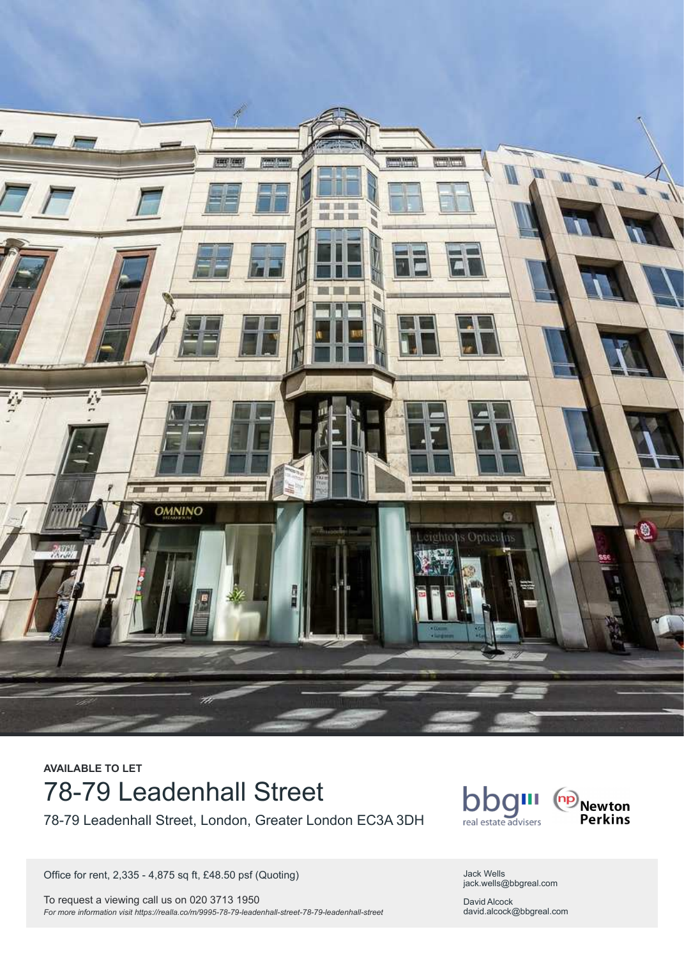

# **AVAILABLE TO LET** 78-79 Leadenhall Street

78-79 Leadenhall Street, London, Greater London EC3A 3DH

Office for rent, 2,335 - 4,875 sq ft, £48.50 psf (Quoting)

To request a viewing call us on 020 3713 1950 *For more information visit<https://realla.co/m/9995-78-79-leadenhall-street-78-79-leadenhall-street>*



Jack Wells jack.wells@bbgreal.com

David Alcock david.alcock@bbgreal.com